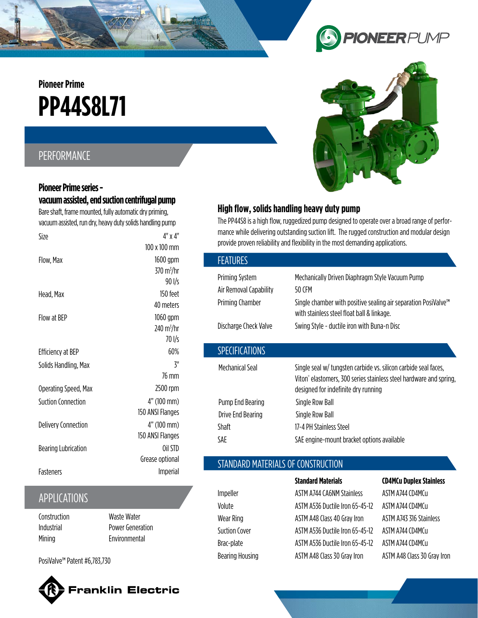# **PP44S8L71 Pioneer Prime**

## PERFORMANCE

## **Pioneer Prime series vacuum assisted, end suction centrifugal pump**

Bare shaft, frame mounted, fully automatic dry priming, vacuum assisted, run dry, heavy duty solids handling pump

| Size                       | 4" x 4"                     |
|----------------------------|-----------------------------|
|                            | 100 x 100 mm                |
| Flow, Max                  | 1600 gpm                    |
|                            | $370 \text{ m}^3/\text{hr}$ |
|                            | 90 l/s                      |
| Head, Max                  | 150 feet                    |
|                            | 40 meters                   |
| Flow at BEP                | 1060 gpm                    |
|                            | 240 $\rm m^3/hr$            |
|                            | 70 l/s                      |
| <b>Efficiency at BEP</b>   | 60%                         |
| Solids Handling, Max       | ζ"                          |
|                            | 76 mm                       |
| Operating Speed, Max       | 2500 rpm                    |
| Suction Connection         | 4" (100 mm)                 |
|                            | 150 ANSI Flanges            |
| <b>Delivery Connection</b> | 4" (100 mm)                 |
|                            | 150 ANSI Flanges            |
| <b>Bearing Lubrication</b> | Oil STD                     |
|                            | Grease optional             |
| Fasteners                  | <b>Imperial</b>             |
|                            |                             |

## APPLICATIONS

**Construction** Industrial **Mining** 

Waste Water Power Generation Environmental

PosiValve™ Patent #6,783,730





**PIONEER PUMP** 

## **High flow, solids handling heavy duty pump**

The PP44S8 is a high flow, ruggedized pump designed to operate over a broad range of performance while delivering outstanding suction lift. The rugged construction and modular design provide proven reliability and flexibility in the most demanding applications.

| <b>FEATURES</b>        |                                                                                                                                                                                          |
|------------------------|------------------------------------------------------------------------------------------------------------------------------------------------------------------------------------------|
| <b>Priming System</b>  | Mechanically Driven Diaphragm Style Vacuum Pump                                                                                                                                          |
| Air Removal Capability | 50 CFM                                                                                                                                                                                   |
| Priming Chamber        | Single chamber with positive sealing air separation PosiValve™<br>with stainless steel float ball & linkage.                                                                             |
| Discharge Check Valve  | Swing Style - ductile iron with Buna-n Disc                                                                                                                                              |
| <b>SPECIFICATIONS</b>  |                                                                                                                                                                                          |
| Mechanical Seal        | Single seal w/ tungsten carbide vs. silicon carbide seal faces,<br>Viton <sup>®</sup> elastomers, 300 series stainless steel hardware and spring,<br>designed for indefinite dry running |
| Pump End Bearing       | Single Row Ball                                                                                                                                                                          |
| Drive End Bearing      | Single Row Ball                                                                                                                                                                          |
| Shaft                  | 17-4 PH Stainless Steel                                                                                                                                                                  |
| SAF                    | SAE engine-mount bracket options available                                                                                                                                               |

#### STANDARD MATERIALS OF CONSTRUCTION

Impeller ASTM A744 CA6NM Stainless ASTM A744 CD4MCu Volute ASTM A536 Ductile Iron 65-45-12 ASTM A744 CD4MCu Wear Ring Material ASTM A48 Class 40 Gray Iron ASTM A743 316 Stainless Suction Cover ASTM A536 Ductile Iron 65-45-12 ASTM A744 CD4MCu Brac-plate ASTM A536 Ductile Iron 65-45-12 ASTM A744 CD4MCu Bearing Housing **ASTM A48 Class 30 Gray Iron** ASTM A48 Class 30 Gray Iron

**Standard Materials CD4MCu Duplex Stainless**